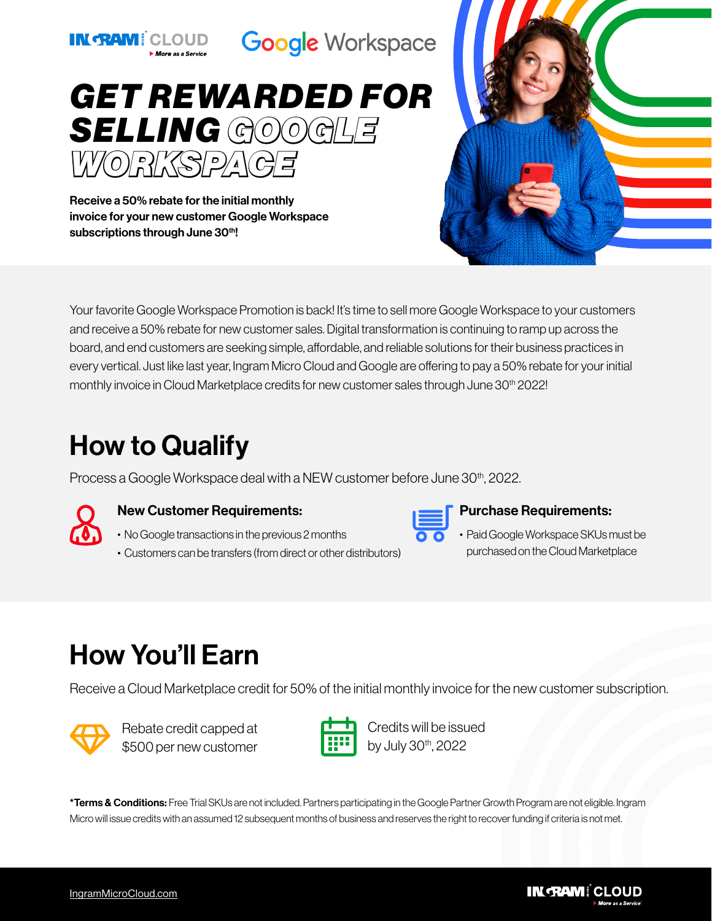

IN TANI CLOUD Google Workspace



Receive a 50% rebate for the initial monthly invoice for your new customer Google Workspace subscriptions through June 30th!

Your favorite Google Workspace Promotion is back! It's time to sell more Google Workspace to your customers and receive a 50% rebate for new customer sales. Digital transformation is continuing to ramp up across the board, and end customers are seeking simple, affordable, and reliable solutions for their business practices in every vertical. Just like last year, Ingram Micro Cloud and Google are offering to pay a 50% rebate for your initial monthly invoice in Cloud Marketplace credits for new customer sales through June 30<sup>th</sup> 2022!

## How to Qualify

Process a Google Workspace deal with a NEW customer before June 30<sup>th</sup>, 2022.



#### New Customer Requirements:

- No Google transactions in the previous 2 months
- Customers can be transfers (from direct or other distributors)



#### Purchase Requirements:

• Paid Google Workspace SKUs must be purchased on the Cloud Marketplace

# How You'll Earn

Receive a Cloud Marketplace credit for 50% of the initial monthly invoice for the new customer subscription.



Rebate credit capped at \$500 per new customer



Credits will be issued by July 30<sup>th</sup>, 2022

\*Terms & Conditions: Free Trial SKUs are not included. Partners participating in the Google Partner Growth Program are not eligible. Ingram Micro will issue credits with an assumed 12 subsequent months of business and reserves the right to recover funding if criteria is not met.